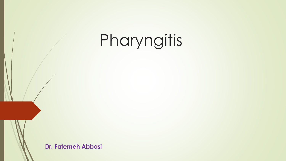## Pharyngitis

**Dr. Fatemeh Abbasi**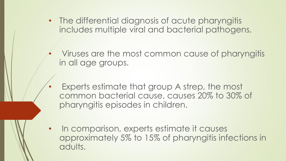- The differential diagnosis of acute pharyngitis includes multiple viral and bacterial pathogens.
	- Viruses are the most common cause of pharyngitis in all age groups.
	- Experts estimate that group A strep, the most common bacterial cause, causes 20% to 30% of pharyngitis episodes in children.
- In comparison, experts estimate it causes approximately 5% to 15% of pharyngitis infections in adults.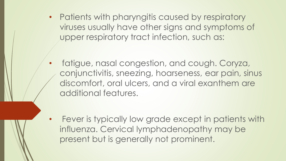• Patients with pharyngitis caused by respiratory viruses usually have other signs and symptoms of upper respiratory tract infection, such as:

• fatigue, nasal congestion, and cough. Coryza, conjunctivitis, sneezing, hoarseness, ear pain, sinus discomfort, oral ulcers, and a viral exanthem are additional features.

Fever is typically low grade except in patients with influenza. Cervical lymphadenopathy may be present but is generally not prominent.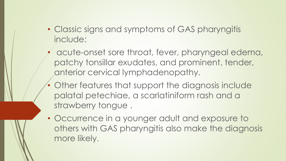- Classic signs and symptoms of GAS pharyngitis include:
	- acute-onset sore throat, fever, pharyngeal edema, patchy tonsillar exudates, and prominent, tender, anterior cervical lymphadenopathy.
- Other features that support the diagnosis include palatal petechiae, a scarlatiniform rash and a strawberry tongue .
- Occurrence in a younger adult and exposure to others with GAS pharyngitis also make the diagnosis more likely.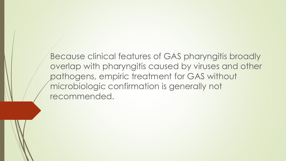Because clinical features of GAS pharyngitis broadly overlap with pharyngitis caused by viruses and other pathogens, empiric treatment for GAS without microbiologic confirmation is generally not recommended.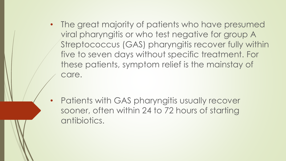- The great majority of patients who have presumed viral pharyngitis or who test negative for group A Streptococcus (GAS) pharyngitis recover fully within five to seven days without specific treatment. For these patients, symptom relief is the mainstay of care.
- Patients with GAS pharyngitis usually recover sooner, often within 24 to 72 hours of starting antibiotics.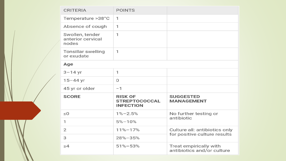| <b>CRITERIA</b>                               | <b>POINTS</b>                                              |                                                      |  |
|-----------------------------------------------|------------------------------------------------------------|------------------------------------------------------|--|
| Temperature >38°C                             | $\mathbf{1}$                                               |                                                      |  |
| Absence of cough                              | $\mathbf{1}$                                               |                                                      |  |
| Swollen, tender<br>anterior cervical<br>nodes | 1                                                          |                                                      |  |
| <b>Tonsillar swelling</b><br>or exudate       | $\mathbf{1}$                                               |                                                      |  |
| Age                                           |                                                            |                                                      |  |
| $3 - 14$ yr                                   | 1                                                          |                                                      |  |
| $15 - 44$ yr                                  | 0                                                          |                                                      |  |
| 45 yr or older                                | $-1$                                                       |                                                      |  |
| <b>SCORE</b>                                  | <b>RISK OF</b><br><b>STREPTOCOCCAL</b><br><b>INFECTION</b> | <b>SUGGESTED</b><br><b>MANAGEMENT</b>                |  |
| $\leq 0$                                      | $1\% - 2.5\%$                                              | No further testing or                                |  |
| $\mathbf{1}$                                  | $5% - 10%$                                                 | antibiotic                                           |  |
| 2                                             | 11%-17%                                                    | Culture all: antibiotics only                        |  |
| 3                                             | 28%-35%                                                    | for positive culture results                         |  |
| $\geq 4$                                      | $51\% - 53\%$                                              | Treat empirically with<br>antibiotics and/or culture |  |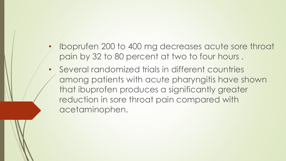- Iboprufen 200 to 400 mg decreases acute sore throat pain by 32 to 80 percent at two to four hours .
- Several randomized trials in different countries among patients with acute pharyngitis have shown that ibuprofen produces a significantly greater reduction in sore throat pain compared with acetaminophen.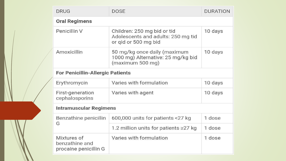|  | <b>DRUG</b>                                            | <b>DOSE</b>                                                                               | <b>DURATION</b> |  |
|--|--------------------------------------------------------|-------------------------------------------------------------------------------------------|-----------------|--|
|  | <b>Oral Regimens</b>                                   |                                                                                           |                 |  |
|  | Penicillin V                                           | Children: 250 mg bid or tid<br>Adolescents and adults: 250 mg tid<br>or gid or 500 mg bid | 10 days         |  |
|  | Amoxicillin                                            | 50 mg/kg once daily (maximum<br>1000 mg) Alternative: 25 mg/kg bid<br>(maximum 500 mg)    | 10 days         |  |
|  | <b>For Penicillin-Allergic Patients</b>                |                                                                                           |                 |  |
|  | Erythromycin                                           | Varies with formulation                                                                   | 10 days         |  |
|  | <b>First-generation</b><br>cephalosporins              | Varies with agent                                                                         | 10 days         |  |
|  | Intramuscular Regimens                                 |                                                                                           |                 |  |
|  | Benzathine penicillin<br>G                             | 600,000 units for patients <27 kg                                                         | 1 dose          |  |
|  |                                                        | 1.2 million units for patients ≥27 kg                                                     | 1 dose          |  |
|  | Mixtures of<br>benzathine and<br>procaine penicillin G | Varies with formulation                                                                   | 1 dose          |  |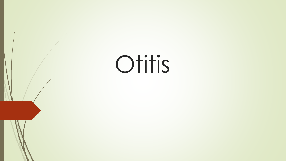# Otitis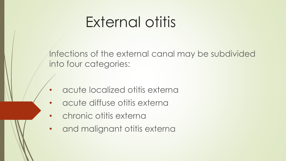#### External otitis

Infections of the external canal may be subdivided into four categories:

- acute localized otitis externa
- acute diffuse otitis externa
- chronic otitis externa
- and malignant otitis externa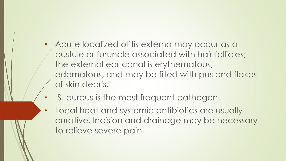- Acute localized otitis externa may occur as a pustule or furuncle associated with hair follicles; the external ear canal is erythematous, edematous, and may be filled with pus and flakes of skin debris.
- S. aureus is the most frequent pathogen.
- Local heat and systemic antibiotics are usually curative. Incision and drainage may be necessary to relieve severe pain.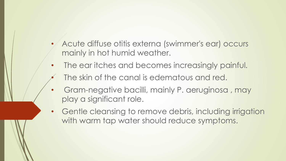- Acute diffuse otitis externa (swimmer's ear) occurs mainly in hot humid weather.
- The ear itches and becomes increasingly painful.
	- The skin of the canal is edematous and red.
- Gram-negative bacilli, mainly P. aeruginosa , may play a significant role.
- Gentle cleansing to remove debris, including irrigation with warm tap water should reduce symptoms.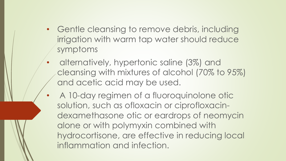- Gentle cleansing to remove debris, including irrigation with warm tap water should reduce symptoms
	- alternatively, hypertonic saline (3%) and cleansing with mixtures of alcohol (70% to 95%) and acetic acid may be used.
	- A 10-day regimen of a fluoroquinolone otic solution, such as ofloxacin or ciprofloxacindexamethasone otic or eardrops of neomycin alone or with polymyxin combined with hydrocortisone, are effective in reducing local inflammation and infection.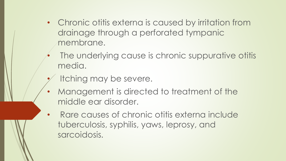- Chronic otitis externa is caused by irritation from drainage through a perforated tympanic membrane.
	- The underlying cause is chronic suppurative otitis media.
- Itching may be severe.
- Management is directed to treatment of the middle ear disorder.
- Rare causes of chronic otitis externa include tuberculosis, syphilis, yaws, leprosy, and sarcoidosis.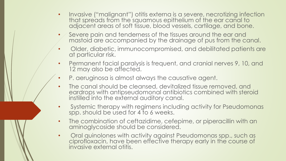- Invasive ("malignant") otitis externa is a severe, necrotizing infection that spreads from the squamous epithelium of the ear canal to adjacent areas of soft tissue, blood vessels, cartilage, and bone.
- $\bullet$   $\diagup$  Severe pain and tenderness of the tissues around the ear and mastoid are accompanied by the drainage of pus from the canal.
- Older, diabetic, immunocompromised, and debilitated patients are at particular risk.
- Permanent facial paralysis is frequent, and cranial nerves 9, 10, and 12 may also be affected.
- P. aeruginosa is almost always the causative agent.
- The canal should be cleansed, devitalized tissue removed, and eardrops with antipseudomonal antibiotics combined with steroid instilled into the external auditory canal.
- Systemic therapy with regimens including activity for Pseudomonas spp. should be used for 4 to 6 weeks.
- The combination of ceftazidime, cefepime, or piperacillin with an aminoglycoside should be considered.
- Oral quinolones with activity against Pseudomonas spp., such as ciprofloxacin, have been effective therapy early in the course of invasive external otitis.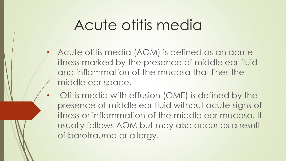#### Acute otitis media

- Acute otitis media (AOM) is defined as an acute illness marked by the presence of middle ear fluid and inflammation of the mucosa that lines the middle ear space.
- Otitis media with effusion (OME) is defined by the presence of middle ear fluid without acute signs of illness or inflammation of the middle ear mucosa. It usually follows AOM but may also occur as a result of barotrauma or allergy.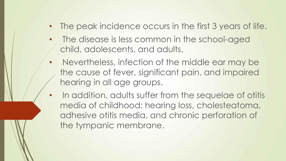- The peak incidence occurs in the first 3 years of life.
- The disease is less common in the school-aged child, adolescents, and adults.
- Nevertheless, infection of the middle ear may be the cause of fever, significant pain, and impaired hearing in all age groups.
- In addition, adults suffer from the sequelae of otitis media of childhood: hearing loss, cholesteatoma, adhesive otitis media, and chronic perforation of the tympanic membrane.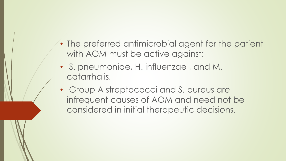- The preferred antimicrobial agent for the patient with AOM must be active against:
- S. pneumoniae, H. influenzae , and M. catarrhalis.
- Group A streptococci and S. aureus are infrequent causes of AOM and need not be considered in initial therapeutic decisions.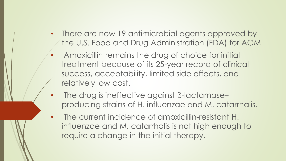- There are now 19 antimicrobial agents approved by the U.S. Food and Drug Administration (FDA) for AOM.
	- Amoxicillin remains the drug of choice for initial treatment because of its 25-year record of clinical success, acceptability, limited side effects, and relatively low cost.
- The drug is ineffective against β-lactamase– producing strains of H. influenzae and M. catarrhalis.
- The current incidence of amoxicillin-resistant H. influenzae and M. catarrhalis is not high enough to require a change in the initial therapy.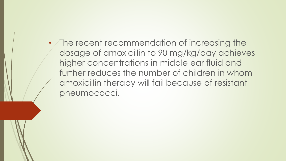• The recent recommendation of increasing the dosage of amoxicillin to 90 mg/kg/day achieves higher concentrations in middle ear fluid and further reduces the number of children in whom amoxicillin therapy will fail because of resistant pneumococci.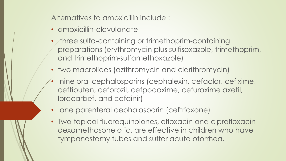Alternatives to amoxicillin include :

- amoxicillin-clavulanate
- three sulfa-containing or trimethoprim-containing preparations (erythromycin plus sulfisoxazole, trimethoprim, and trimethoprim-sulfamethoxazole)
- two macrolides (azithromycin and clarithromycin)
- nine oral cephalosporins (cephalexin, cefaclor, cefixime, ceftibuten, cefprozil, cefpodoxime, cefuroxime axetil, loracarbef, and cefdinir)
- one parenteral cephalosporin (ceftriaxone)
- Two topical fluoroquinolones, ofloxacin and ciprofloxacindexamethasone otic, are effective in children who have tympanostomy tubes and suffer acute otorrhea.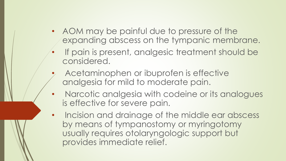- AOM may be painful due to pressure of the expanding abscess on the tympanic membrane.
- If pain is present, analgesic treatment should be considered.
- Acetaminophen or ibuprofen is effective analgesia for mild to moderate pain.
- Narcotic analgesia with codeine or its analogues is effective for severe pain.
- Incision and drainage of the middle ear abscess by means of tympanostomy or myringotomy usually requires otolaryngologic support but provides immediate relief.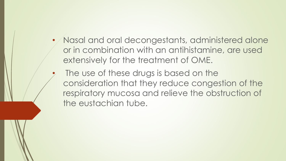- Nasal and oral decongestants, administered alone or in combination with an antihistamine, are used extensively for the treatment of OME.
- The use of these drugs is based on the consideration that they reduce congestion of the respiratory mucosa and relieve the obstruction of the eustachian tube.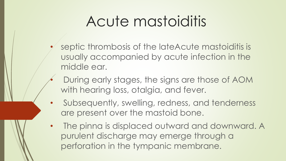#### Acute mastoiditis

- septic thrombosis of the lateAcute mastoiditis is usually accompanied by acute infection in the middle ear.
	- During early stages, the signs are those of AOM with hearing loss, otalgia, and fever.
- Subsequently, swelling, redness, and tenderness are present over the mastoid bone.
- The pinna is displaced outward and downward. A purulent discharge may emerge through a perforation in the tympanic membrane.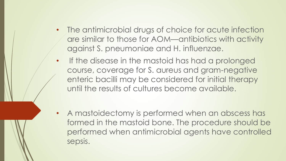- The antimicrobial drugs of choice for acute infection are similar to those for AOM—antibiotics with activity against S. pneumoniae and H. influenzae.
- If the disease in the mastoid has had a prolonged course, coverage for S. aureus and gram-negative enteric bacilli may be considered for initial therapy until the results of cultures become available.
- A mastoidectomy is performed when an abscess has formed in the mastoid bone. The procedure should be performed when antimicrobial agents have controlled sepsis.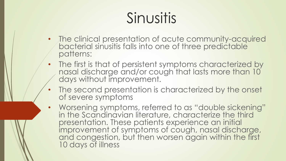### Sinusitis

- The clinical presentation of acute community-acquired bacterial sinusitis falls into one of three predictable patterns:
- The first is that of persistent symptoms characterized by nasal discharge and/or cough that lasts more than 10 days without improvement.
- The second presentation is characterized by the onset of severe symptoms
- Worsening symptoms, referred to as "double sickening" in the Scandinavian literature, characterize the third presentation. These patients experience an initial improvement of symptoms of cough, nasal discharge, and congestion, but then worsen again within the first 10 days of illness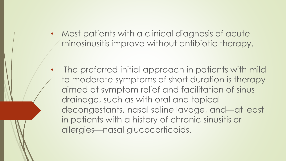• Most patients with a clinical diagnosis of acute rhinosinusitis improve without antibiotic therapy.

The preferred initial approach in patients with mild to moderate symptoms of short duration is therapy aimed at symptom relief and facilitation of sinus drainage, such as with oral and topical decongestants, nasal saline lavage, and—at least in patients with a history of chronic sinusitis or allergies—nasal glucocorticoids.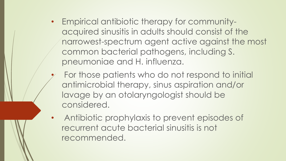- Empirical antibiotic therapy for communityacquired sinusitis in adults should consist of the narrowest-spectrum agent active against the most common bacterial pathogens, including S. pneumoniae and H. influenza.
	- For those patients who do not respond to initial antimicrobial therapy, sinus aspiration and/or lavage by an otolaryngologist should be considered.
- Antibiotic prophylaxis to prevent episodes of recurrent acute bacterial sinusitis is not recommended.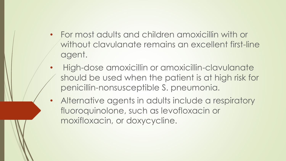- For most adults and children amoxicillin with or without clavulanate remains an excellent first-line agent.
- High-dose amoxicillin or amoxicillin-clavulanate should be used when the patient is at high risk for penicillin-nonsusceptible S. pneumonia.
- Alternative agents in adults include a respiratory fluoroquinolone, such as levofloxacin or moxifloxacin, or doxycycline.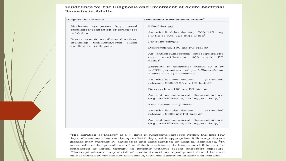#### Guidelines for the Diagnosis and Treatment of Acute Bacterial **Sinusitis in Adults**

| Diagnostic Criteria                                                                                                                                                                      | <b>Treatment Recommendations<sup>a</sup></b>                                                                                                                                                                                                                                                                                                                                                                                                                                                                                                                                                                                                                                                                                                                                                             |  |
|------------------------------------------------------------------------------------------------------------------------------------------------------------------------------------------|----------------------------------------------------------------------------------------------------------------------------------------------------------------------------------------------------------------------------------------------------------------------------------------------------------------------------------------------------------------------------------------------------------------------------------------------------------------------------------------------------------------------------------------------------------------------------------------------------------------------------------------------------------------------------------------------------------------------------------------------------------------------------------------------------------|--|
| Moderate symptoms (e.g., nasal<br>purulence/congestion or cough) for<br>$>10$ d or<br>Severe symptoms of any duration,<br>including unilateral/focal<br>facial<br>swelling or tooth pain | Initial therapy:<br>Amoxicillin/clavulanate, 500/125 mg<br>PO tid or $875/125$ mg PO bid <sup>b</sup><br>Penicillin allergy:<br>Doxycycline, 100 mg PO bid; or<br>An antipneumococcal fluoroquinolone<br>(e.g., moxifloxacin, 400 mg/d PO<br>$daily)^c$<br>Exposure to antibiotics within 30 d or<br>$>$ 30% prevalence of penicillin-resistant<br>Streptococcus pneumoniae:<br>Amoxicillin/clavulanate<br><i>(extended)</i><br>release), $2000/125$ mg PO bid; or<br>Doxycycline, 100 mg PO bid; or<br>An antipneumococcal fluoroquinolone<br>(e.g., moxifloxacin, 400 mg PO daily) <sup>c</sup><br>Recent treatment failure:<br>Amoxicillin/clavulanate<br><i>(extended)</i><br>release), 2000 mg PO bid; or<br>An antipneumococcal fluoroquinolone<br>(e.g., moxifloxacin, 400 mg PO daily) $\rm^{c}$ |  |

<sup>a</sup>The duration of therapy is 5–7 days if symptoms improve within the first few days of treatment but can be up to 7-10 days, with appropriate follow-up. Severe disease may warrant IV antibiotics and consideration of hospital admission. <sup>b</sup>In areas where the prevalence of antibiotic resistance is low, amoxicillin can be considered as initial therapy in patients without recent antibiotic exposure. <sup>c</sup>Fluoroquinolones carry a risk of tendinitis and neuropathy and should be used only if other options are not reasonable, with consideration of risks and benefits.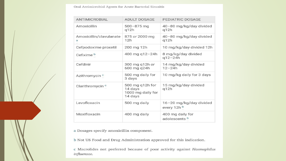Oral Antimicrobial Agents for Acute Bacterial Sinusitis

| ANTIMICROBIAL                | <b>ADULT DOSAGE</b>                                        | <b>PEDIATRIC DOSAGE</b>                      |
|------------------------------|------------------------------------------------------------|----------------------------------------------|
| Amoxicillin                  | $500 - 875$ mg<br>q12h                                     | 40-80 mg/kg/day divided<br>q12h              |
| Amoxicillin/clavulanate<br>a | 875 or 2000 mg<br>12h                                      | 40-80 mg/kg/day divided<br>q12h              |
| Cefpodoxime proxetil         | 200 mg 12h                                                 | 10 mg/kg/day divided 12h                     |
| Cefixime <sup>b</sup>        | 400 mg q12-24h                                             | 8 mg/kg/day divided<br>$q12 - 24h$           |
| Cefdinir                     | 300 mg q12h or<br>600 mg q24h                              | 14 mg/kg/day divided<br>$12 - 24h$           |
| Azithromycin <sup>c</sup>    | 500 mg daily for<br>3 days                                 | 10 mg/kg daily for 3 days                    |
| Clarithromycin <sup>c</sup>  | 500 mg q12h for<br>14 days<br>1000 mg daily for<br>14 days | 15 mg/kg/day divided<br>q12h                 |
| Levofloxacin                 | 500 mg daily                                               | 16-20 mg/kg/day divided<br>every 12h b       |
| Moxifloxacin                 | 400 mg daily                                               | 400 mg daily for<br>adolescents <sup>b</sup> |

a Dosages specify amoxicillin component.

b Not US Food and Drug Administration approved for this indication.

c Macrolides not preferred because of poor activity against Haemophilus influenzae.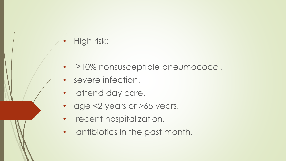#### • High risk:

- ≥10% nonsusceptible pneumococci,
- severe infection,
- attend day care,
- age <2 years or >65 years,
- recent hospitalization,
- antibiotics in the past month.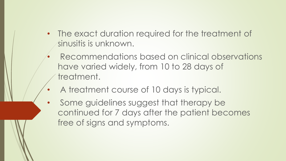- The exact duration required for the treatment of sinusitis is unknown.
	- Recommendations based on clinical observations have varied widely, from 10 to 28 days of treatment.
	- A treatment course of 10 days is typical.
- Some guidelines suggest that therapy be continued for 7 days after the patient becomes free of signs and symptoms.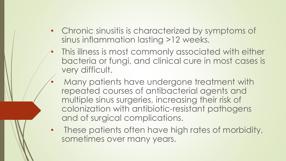- Chronic sinusitis is characterized by symptoms of sinus inflammation lasting >12 weeks.
- This illness is most commonly associated with either bacteria or fungi, and clinical cure in most cases is very difficult.
- Many patients have undergone treatment with repeated courses of antibacterial agents and multiple sinus surgeries, increasing their risk of colonization with antibiotic-resistant pathogens and of surgical complications.
- These patients often have high rates of morbidity, sometimes over many years.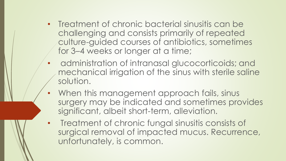- Treatment of chronic bacterial sinusitis can be challenging and consists primarily of repeated culture-guided courses of antibiotics, sometimes for 3–4 weeks or longer at a time;
- administration of intranasal glucocorticoids; and mechanical irrigation of the sinus with sterile saline solution.
- When this management approach fails, sinus surgery may be indicated and sometimes provides significant, albeit short-term, alleviation.
- Treatment of chronic fungal sinusitis consists of surgical removal of impacted mucus. Recurrence, unfortunately, is common.